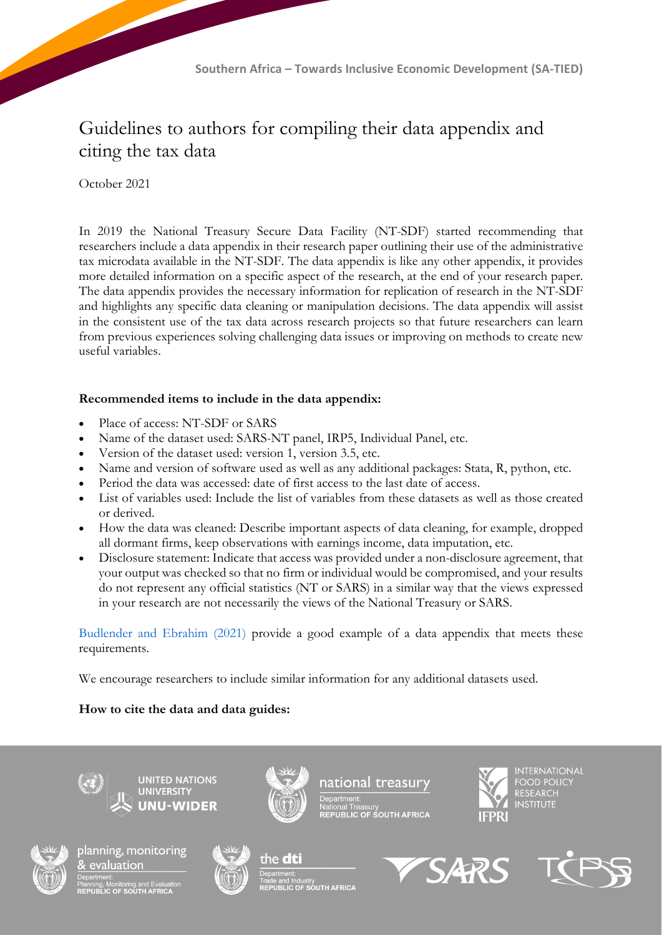# Guidelines to authors for compiling their data appendix and citing the tax data

October 2021

In 2019 the National Treasury Secure Data Facility (NT-SDF) started recommending that researchers include a data appendix in their research paper outlining their use of the administrative tax microdata available in the NT-SDF. The data appendix is like any other appendix, it provides more detailed information on a specific aspect of the research, at the end of your research paper. The data appendix provides the necessary information for replication of research in the NT-SDF and highlights any specific data cleaning or manipulation decisions. The data appendix will assist in the consistent use of the tax data across research projects so that future researchers can learn from previous experiences solving challenging data issues or improving on methods to create new useful variables.

## **Recommended items to include in the data appendix:**

- Place of access: NT-SDF or SARS
- Name of the dataset used: SARS-NT panel, IRP5, Individual Panel, etc.
- Version of the dataset used: version 1, version 3.5, etc.
- Name and version of software used as well as any additional packages: Stata, R, python, etc.
- Period the data was accessed: date of first access to the last date of access.
- List of variables used: Include the list of variables from these datasets as well as those created or derived.
- How the data was cleaned: Describe important aspects of data cleaning, for example, dropped all dormant firms, keep observations with earnings income, data imputation, etc.
- Disclosure statement: Indicate that access was provided under a non-disclosure agreement, that your output was checked so that no firm or individual would be compromised, and your results do not represent any official statistics (NT or SARS) in a similar way that the views expressed in your research are not necessarily the views of the National Treasury or SARS.

[Budlender and Ebrahim \(2021\)](https://doi.org/10.35188/UNU-WIDER/2021/058-0) provide a good example of a data appendix that meets these requirements.

We encourage researchers to include similar information for any additional datasets used.

**How to cite the data and data guides:**



UNITED NATIONS UNU-WIDER











planning, monitoring

& evaluation



ustry<br><mark>F SOUTH AFRICA</mark>

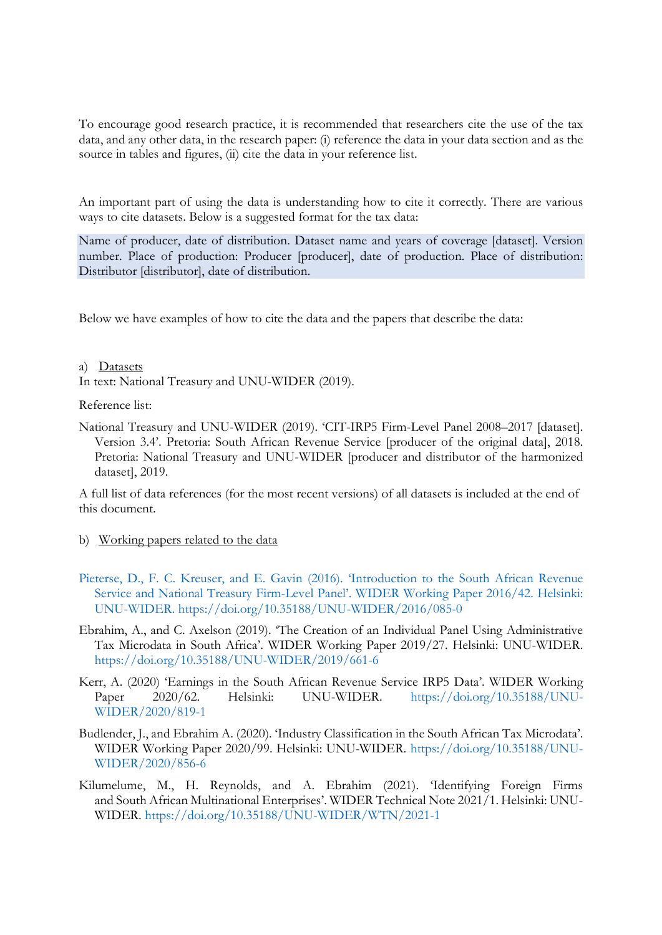To encourage good research practice, it is recommended that researchers cite the use of the tax data, and any other data, in the research paper: (i) reference the data in your data section and as the source in tables and figures, (ii) cite the data in your reference list.

An important part of using the data is understanding how to cite it correctly. There are various ways to cite datasets. Below is a suggested format for the tax data:

Name of producer, date of distribution. Dataset name and years of coverage [dataset]. Version number. Place of production: Producer [producer], date of production. Place of distribution: Distributor [distributor], date of distribution.

Below we have examples of how to cite the data and the papers that describe the data:

#### a) Datasets

In text: National Treasury and UNU-WIDER (2019).

Reference list:

National Treasury and UNU-WIDER (2019). 'CIT-IRP5 Firm-Level Panel 2008–2017 [dataset]. Version 3.4'. Pretoria: South African Revenue Service [producer of the original data], 2018. Pretoria: National Treasury and UNU-WIDER [producer and distributor of the harmonized dataset], 2019.

A full list of data references (for the most recent versions) of all datasets is included at the end of this document.

- b) Working papers related to the data
- Pieterse, D., F. C. Kreuser, [and E. Gavin \(2016\). 'Introduction to the South African Revenue](https://doi.org/10.35188/UNU-WIDER/2016/085-0)  [Service and National Treasury Firm-Level Panel'. WIDER Working Paper 2016/42. Helsinki:](https://doi.org/10.35188/UNU-WIDER/2016/085-0)  [UNU-WIDER.](https://doi.org/10.35188/UNU-WIDER/2016/085-0) <https://doi.org/10.35188/UNU-WIDER/2016/085-0>
- Ebrahim, A., and C. Axelson (2019). 'The Creation of an Individual Panel Using Administrative Tax Microdata in South Africa'. WIDER Working Paper 2019/27. Helsinki: UNU-WIDER. <https://doi.org/10.35188/UNU-WIDER/2019/661-6>
- Kerr, A. (2020) 'Earnings in the South African Revenue Service IRP5 Data'. WIDER Working Paper 2020/62. Helsinki: UNU-WIDER. [https://doi.org/10.35188/UNU-](https://doi.org/10.35188/UNU-WIDER/2020/819-1)[WIDER/2020/819-1](https://doi.org/10.35188/UNU-WIDER/2020/819-1)
- Budlender, J., and Ebrahim A. (2020). 'Industry Classification in the South African Tax Microdata'. WIDER Working Paper 2020/99. Helsinki: UNU-WIDER. [https://doi.org/10.35188/UNU-](https://doi.org/10.35188/UNU-WIDER/2020/856-6)[WIDER/2020/856-6](https://doi.org/10.35188/UNU-WIDER/2020/856-6)
- Kilumelume, M., H. Reynolds, and A. Ebrahim (2021). 'Identifying Foreign Firms and South African Multinational Enterprises'. WIDER Technical Note 2021/1. Helsinki: UNU-WIDER. <https://doi.org/10.35188/UNU-WIDER/WTN/2021-1>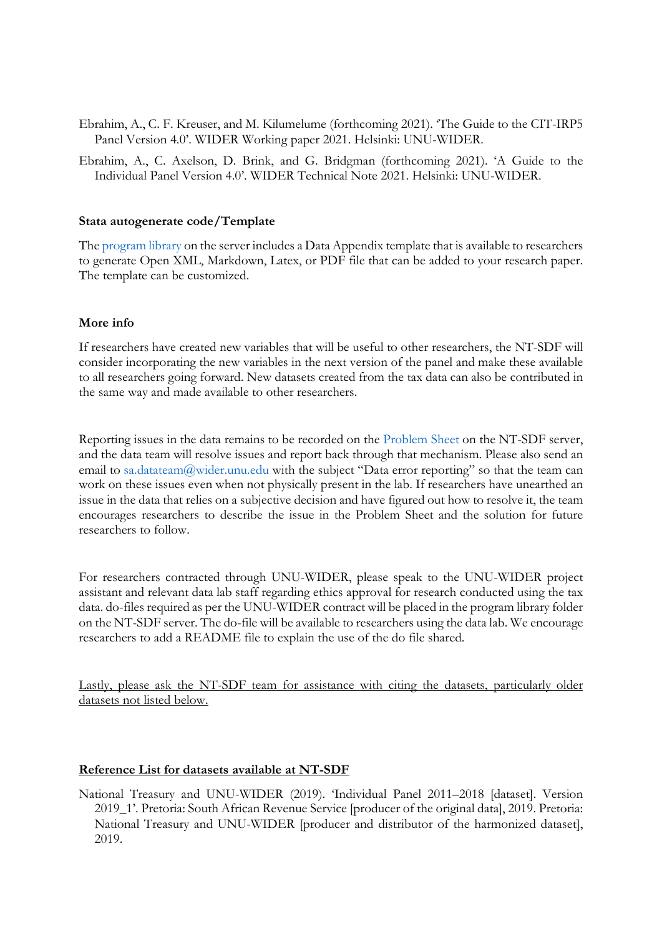- Ebrahim, A., C. F. Kreuser, and M. Kilumelume (forthcoming 2021). 'The Guide to the CIT-IRP5 Panel Version 4.0'. WIDER Working paper 2021. Helsinki: UNU-WIDER.
- Ebrahim, A., C. Axelson, D. Brink, and G. Bridgman (forthcoming 2021). 'A Guide to the Individual Panel Version 4.0'. WIDER Technical Note 2021. Helsinki: UNU-WIDER.

### **Stata autogenerate code/Template**

The program library on the server includes a Data Appendix template that is available to researchers to generate Open XML, Markdown, Latex, or PDF file that can be added to your research paper. The template can be customized.

### **More info**

If researchers have created new variables that will be useful to other researchers, the NT-SDF will consider incorporating the new variables in the next version of the panel and make these available to all researchers going forward. New datasets created from the tax data can also be contributed in the same way and made available to other researchers.

Reporting issues in the data remains to be recorded on the Problem Sheet on the NT-SDF server, and the data team will resolve issues and report back through that mechanism. Please also send an email to [sa.datateam@wider.unu.edu](mailto:sa.datateam@wider.unu.edu) with the subject "Data error reporting" so that the team can work on these issues even when not physically present in the lab. If researchers have unearthed an issue in the data that relies on a subjective decision and have figured out how to resolve it, the team encourages researchers to describe the issue in the Problem Sheet and the solution for future researchers to follow.

For researchers contracted through UNU-WIDER, please speak to the UNU-WIDER project assistant and relevant data lab staff regarding ethics approval for research conducted using the tax data. do-files required as per the UNU-WIDER contract will be placed in the program library folder on the NT-SDF server. The do-file will be available to researchers using the data lab. We encourage researchers to add a README file to explain the use of the do file shared.

Lastly, please ask the NT-SDF team for assistance with citing the datasets, particularly older datasets not listed below.

#### **Reference List for datasets available at NT-SDF**

National Treasury and UNU-WIDER (2019). 'Individual Panel 2011–2018 [dataset]. Version 2019\_1'. Pretoria: South African Revenue Service [producer of the original data], 2019. Pretoria: National Treasury and UNU-WIDER [producer and distributor of the harmonized dataset], 2019.